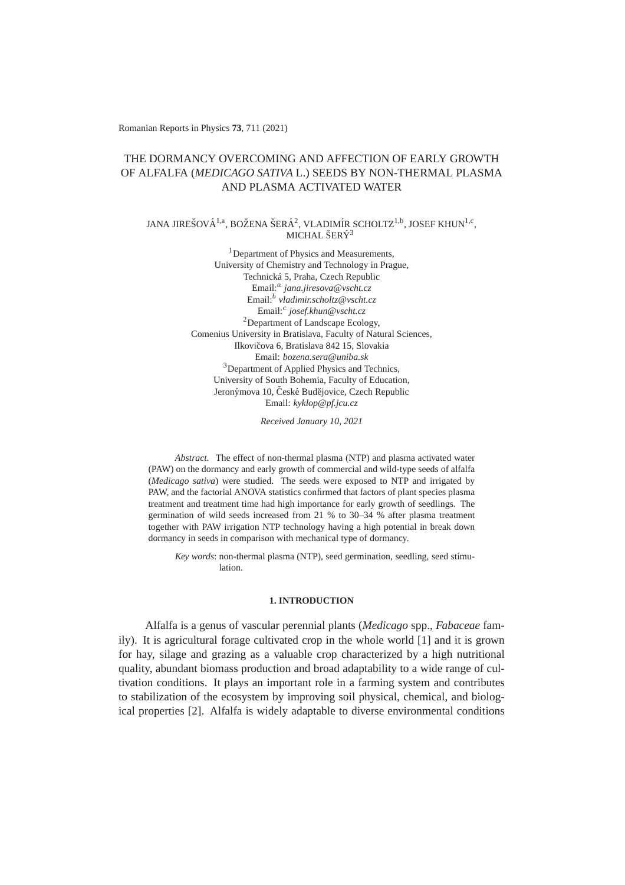Romanian Reports in Physics **73**, 711 (2021)

# THE DORMANCY OVERCOMING AND AFFECTION OF EARLY GROWTH OF ALFALFA (*MEDICAGO SATIVA* L.) SEEDS BY NON-THERMAL PLASMA AND PLASMA ACTIVATED WATER

### JANA JIREŠOVÁ $^{1,a}$ , BOŽENA ŠERÁ $^2$ , VLADIMÍR SCHOLTZ $^{1,b}$ , JOSEF KHUN $^{1,c},$ MICHAL ŠERÝ $^3$

<sup>1</sup>Department of Physics and Measurements, University of Chemistry and Technology in Prague, Technicka 5, Praha, Czech Republic ´ Email:<sup>a</sup> jana.jiresova@vscht.cz<br>Email:<sup>b</sup> vladimir.scholtz@vscht.cz Email:<sup>c</sup> *josef.khun@vscht.cz* <sup>2</sup>Department of Landscape Ecology, Comenius University in Bratislava, Faculty of Natural Sciences, Ilkovičova 6, Bratislava 842 15, Slovakia Email: *bozena.sera@uniba.sk* <sup>3</sup>Department of Applied Physics and Technics, University of South Bohemia, Faculty of Education, Jeronýmova 10, České Budějovice, Czech Republic Email: *kyklop@pf.jcu.cz*

*Received January 10, 2021*

*Abstract.* The effect of non-thermal plasma (NTP) and plasma activated water (PAW) on the dormancy and early growth of commercial and wild-type seeds of alfalfa (*Medicago sativa*) were studied. The seeds were exposed to NTP and irrigated by PAW, and the factorial ANOVA statistics confirmed that factors of plant species plasma treatment and treatment time had high importance for early growth of seedlings. The germination of wild seeds increased from 21 % to 30–34 % after plasma treatment together with PAW irrigation NTP technology having a high potential in break down dormancy in seeds in comparison with mechanical type of dormancy.

*Key words*: non-thermal plasma (NTP), seed germination, seedling, seed stimulation.

### **1. INTRODUCTION**

Alfalfa is a genus of vascular perennial plants (*Medicago* spp., *Fabaceae* family). It is agricultural forage cultivated crop in the whole world [1] and it is grown for hay, silage and grazing as a valuable crop characterized by a high nutritional quality, abundant biomass production and broad adaptability to a wide range of cultivation conditions. It plays an important role in a farming system and contributes to stabilization of the ecosystem by improving soil physical, chemical, and biological properties [2]. Alfalfa is widely adaptable to diverse environmental conditions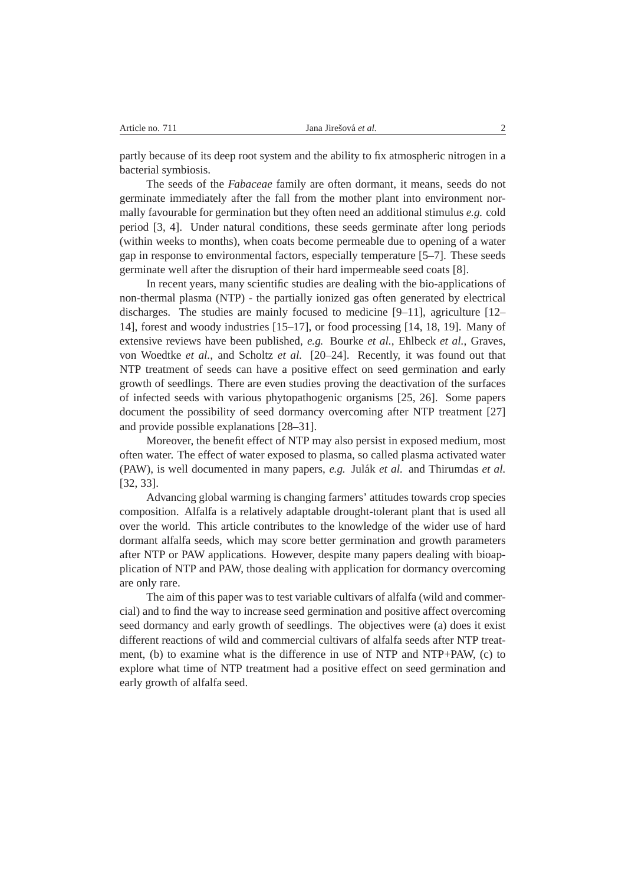partly because of its deep root system and the ability to fix atmospheric nitrogen in a bacterial symbiosis.

The seeds of the *Fabaceae* family are often dormant, it means, seeds do not germinate immediately after the fall from the mother plant into environment normally favourable for germination but they often need an additional stimulus *e.g.* cold period [3, 4]. Under natural conditions, these seeds germinate after long periods (within weeks to months), when coats become permeable due to opening of a water gap in response to environmental factors, especially temperature [5–7]. These seeds germinate well after the disruption of their hard impermeable seed coats [8].

In recent years, many scientific studies are dealing with the bio-applications of non-thermal plasma (NTP) - the partially ionized gas often generated by electrical discharges. The studies are mainly focused to medicine [9–11], agriculture [12– 14], forest and woody industries [15–17], or food processing [14, 18, 19]. Many of extensive reviews have been published, *e.g.* Bourke *et al.*, Ehlbeck *et al.*, Graves, von Woedtke *et al.*, and Scholtz *et al.* [20–24]. Recently, it was found out that NTP treatment of seeds can have a positive effect on seed germination and early growth of seedlings. There are even studies proving the deactivation of the surfaces of infected seeds with various phytopathogenic organisms [25, 26]. Some papers document the possibility of seed dormancy overcoming after NTP treatment [27] and provide possible explanations [28–31].

Moreover, the benefit effect of NTP may also persist in exposed medium, most often water. The effect of water exposed to plasma, so called plasma activated water (PAW), is well documented in many papers, *e.g.* Julak´ *et al.* and Thirumdas *et al.* [32, 33].

Advancing global warming is changing farmers' attitudes towards crop species composition. Alfalfa is a relatively adaptable drought-tolerant plant that is used all over the world. This article contributes to the knowledge of the wider use of hard dormant alfalfa seeds, which may score better germination and growth parameters after NTP or PAW applications. However, despite many papers dealing with bioapplication of NTP and PAW, those dealing with application for dormancy overcoming are only rare.

The aim of this paper was to test variable cultivars of alfalfa (wild and commercial) and to find the way to increase seed germination and positive affect overcoming seed dormancy and early growth of seedlings. The objectives were (a) does it exist different reactions of wild and commercial cultivars of alfalfa seeds after NTP treatment, (b) to examine what is the difference in use of NTP and NTP+PAW, (c) to explore what time of NTP treatment had a positive effect on seed germination and early growth of alfalfa seed.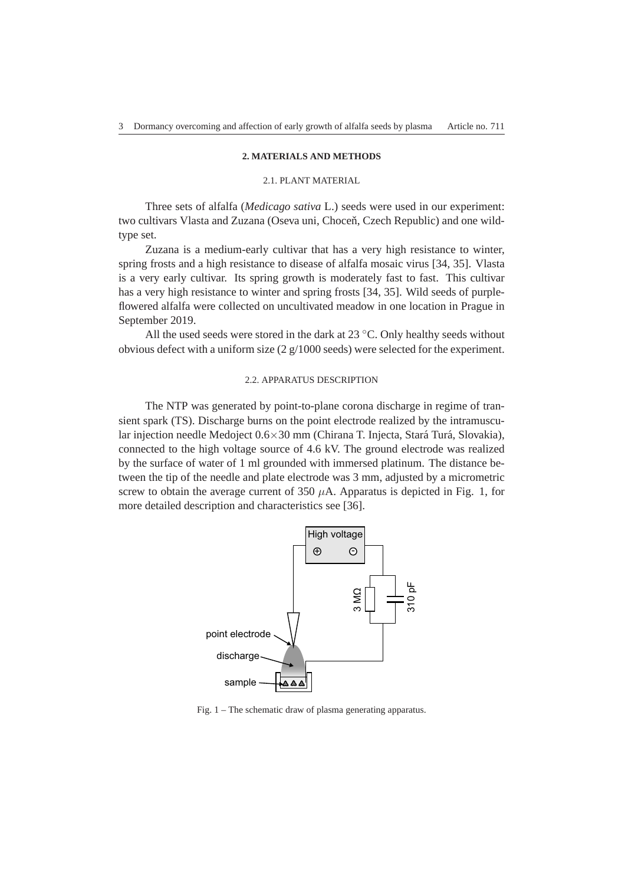#### **2. MATERIALS AND METHODS**

### 2.1. PLANT MATERIAL

Three sets of alfalfa (*Medicago sativa* L.) seeds were used in our experiment: two cultivars Vlasta and Zuzana (Oseva uni, Choceň, Czech Republic) and one wildtype set.

Zuzana is a medium-early cultivar that has a very high resistance to winter, spring frosts and a high resistance to disease of alfalfa mosaic virus [34, 35]. Vlasta is a very early cultivar. Its spring growth is moderately fast to fast. This cultivar has a very high resistance to winter and spring frosts [34, 35]. Wild seeds of purpleflowered alfalfa were collected on uncultivated meadow in one location in Prague in September 2019.

All the used seeds were stored in the dark at  $23 °C$ . Only healthy seeds without obvious defect with a uniform size  $(2 g/1000 \text{ seeds})$  were selected for the experiment.

#### 2.2. APPARATUS DESCRIPTION

The NTP was generated by point-to-plane corona discharge in regime of transient spark (TS). Discharge burns on the point electrode realized by the intramuscular injection needle Medoject  $0.6 \times 30$  mm (Chirana T. Injecta, Stará Turá, Slovakia), connected to the high voltage source of 4.6 kV. The ground electrode was realized by the surface of water of 1 ml grounded with immersed platinum. The distance between the tip of the needle and plate electrode was 3 mm, adjusted by a micrometric screw to obtain the average current of 350  $\mu$ A. Apparatus is depicted in Fig. 1, for more detailed description and characteristics see [36].



Fig. 1 – The schematic draw of plasma generating apparatus.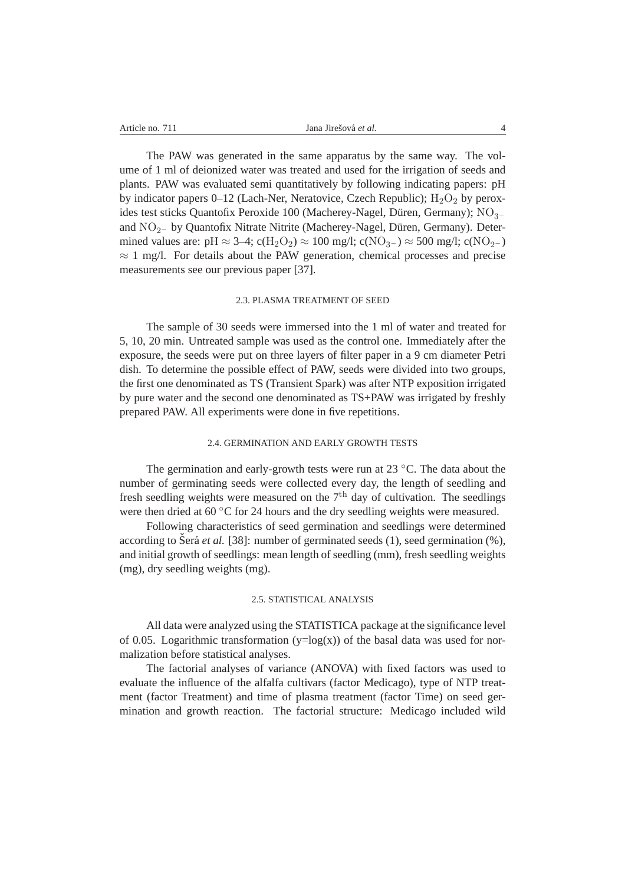The PAW was generated in the same apparatus by the same way. The volume of 1 ml of deionized water was treated and used for the irrigation of seeds and plants. PAW was evaluated semi quantitatively by following indicating papers: pH by indicator papers  $0-12$  (Lach-Ner, Neratovice, Czech Republic);  $H_2O_2$  by peroxides test sticks Quantofix Peroxide 100 (Macherey-Nagel, Düren, Germany);  $NO_{3-}$ and NO<sub>2</sub>− by Quantofix Nitrate Nitrite (Macherey-Nagel, Düren, Germany). Determined values are: pH  $\approx$  3–4; c(H<sub>2</sub>O<sub>2</sub>)  $\approx$  100 mg/l; c(NO<sub>3</sub>–)  $\approx$  500 mg/l; c(NO<sub>2</sub>–)  $\approx$  1 mg/l. For details about the PAW generation, chemical processes and precise measurements see our previous paper [37].

#### 2.3. PLASMA TREATMENT OF SEED

The sample of 30 seeds were immersed into the 1 ml of water and treated for 5, 10, 20 min. Untreated sample was used as the control one. Immediately after the exposure, the seeds were put on three layers of filter paper in a 9 cm diameter Petri dish. To determine the possible effect of PAW, seeds were divided into two groups, the first one denominated as TS (Transient Spark) was after NTP exposition irrigated by pure water and the second one denominated as TS+PAW was irrigated by freshly prepared PAW. All experiments were done in five repetitions.

#### 2.4. GERMINATION AND EARLY GROWTH TESTS

The germination and early-growth tests were run at 23  $°C$ . The data about the number of germinating seeds were collected every day, the length of seedling and fresh seedling weights were measured on the  $7<sup>th</sup>$  day of cultivation. The seedlings were then dried at 60 ℃ for 24 hours and the dry seedling weights were measured.

Following characteristics of seed germination and seedlings were determined according to Šerá *et al.* [38]: number of germinated seeds  $(1)$ , seed germination  $(\%)$ , and initial growth of seedlings: mean length of seedling (mm), fresh seedling weights (mg), dry seedling weights (mg).

#### 2.5. STATISTICAL ANALYSIS

All data were analyzed using the STATISTICA package at the significance level of 0.05. Logarithmic transformation  $(y=log(x))$  of the basal data was used for normalization before statistical analyses.

The factorial analyses of variance (ANOVA) with fixed factors was used to evaluate the influence of the alfalfa cultivars (factor Medicago), type of NTP treatment (factor Treatment) and time of plasma treatment (factor Time) on seed germination and growth reaction. The factorial structure: Medicago included wild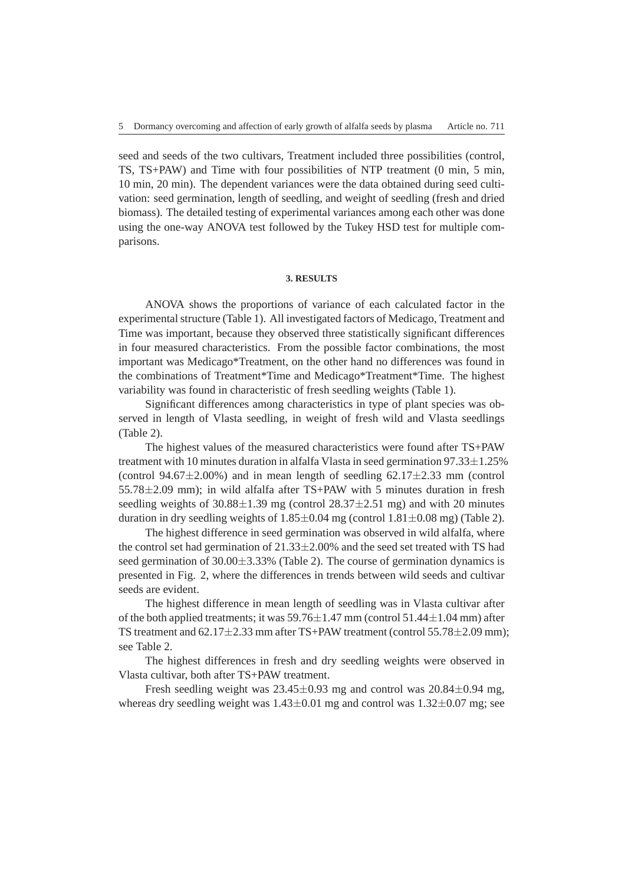seed and seeds of the two cultivars, Treatment included three possibilities (control, TS, TS+PAW) and Time with four possibilities of NTP treatment (0 min, 5 min, 10 min, 20 min). The dependent variances were the data obtained during seed cultivation: seed germination, length of seedling, and weight of seedling (fresh and dried biomass). The detailed testing of experimental variances among each other was done using the one-way ANOVA test followed by the Tukey HSD test for multiple comparisons.

#### **3. RESULTS**

ANOVA shows the proportions of variance of each calculated factor in the experimental structure (Table 1). All investigated factors of Medicago, Treatment and Time was important, because they observed three statistically significant differences in four measured characteristics. From the possible factor combinations, the most important was Medicago\*Treatment, on the other hand no differences was found in the combinations of Treatment\*Time and Medicago\*Treatment\*Time. The highest variability was found in characteristic of fresh seedling weights (Table 1).

Significant differences among characteristics in type of plant species was observed in length of Vlasta seedling, in weight of fresh wild and Vlasta seedlings (Table 2).

The highest values of the measured characteristics were found after TS+PAW treatment with 10 minutes duration in alfalfa Vlasta in seed germination 97.33±1.25% (control  $94.67 \pm 2.00\%$ ) and in mean length of seedling  $62.17 \pm 2.33$  mm (control  $55.78\pm2.09$  mm); in wild alfalfa after TS+PAW with 5 minutes duration in fresh seedling weights of  $30.88 \pm 1.39$  mg (control  $28.37 \pm 2.51$  mg) and with 20 minutes duration in dry seedling weights of  $1.85 \pm 0.04$  mg (control  $1.81 \pm 0.08$  mg) (Table 2).

The highest difference in seed germination was observed in wild alfalfa, where the control set had germination of  $21.33\pm2.00\%$  and the seed set treated with TS had seed germination of  $30.00\pm3.33\%$  (Table 2). The course of germination dynamics is presented in Fig. 2, where the differences in trends between wild seeds and cultivar seeds are evident.

The highest difference in mean length of seedling was in Vlasta cultivar after of the both applied treatments; it was  $59.76\pm1.47$  mm (control  $51.44\pm1.04$  mm) after TS treatment and 62.17±2.33 mm after TS+PAW treatment (control 55.78±2.09 mm); see Table 2.

The highest differences in fresh and dry seedling weights were observed in Vlasta cultivar, both after TS+PAW treatment.

Fresh seedling weight was  $23.45\pm0.93$  mg and control was  $20.84\pm0.94$  mg, whereas dry seedling weight was  $1.43\pm0.01$  mg and control was  $1.32\pm0.07$  mg; see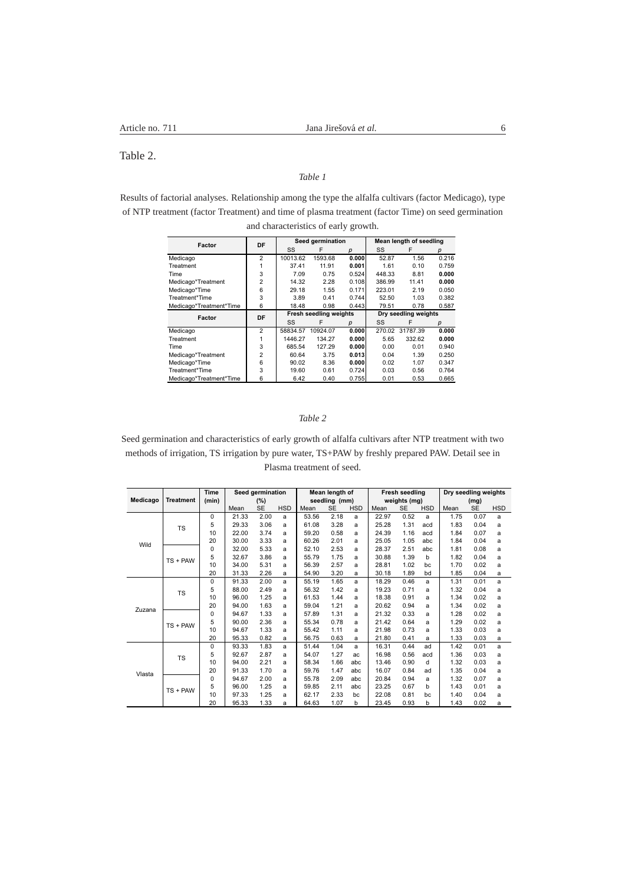Table 2.

## *Table 1*

Results of factorial analyses. Relationship among the type the alfalfa cultivars (factor Medicago), type of NTP treatment (factor Treatment) and time of plasma treatment (factor Time) on seed germination and characteristics of early growth.

| Factor                  | DF             |          | Seed germination              |       | Mean length of seedling |          |       |  |
|-------------------------|----------------|----------|-------------------------------|-------|-------------------------|----------|-------|--|
|                         |                | SS       | F                             | р     | SS                      | F        | р     |  |
| Medicago                | $\overline{2}$ | 10013.62 | 1593.68                       | 0.000 | 52.87                   | 1.56     | 0.216 |  |
| Treatment               |                | 37.41    | 11.91                         | 0.001 | 1.61                    | 0.10     | 0.759 |  |
| Time                    | 3              | 7.09     | 0.75                          | 0.524 | 448.33                  | 8.81     | 0.000 |  |
| Medicago*Treatment      | $\overline{2}$ | 14.32    | 2.28                          | 0.108 | 386.99                  | 11.41    | 0.000 |  |
| Medicago*Time           | 6              | 29.18    | 1.55                          | 0.171 | 223.01                  | 2.19     | 0.050 |  |
| Treatment*Time          | 3              | 3.89     | 0.41                          | 0.744 | 52.50                   | 1.03     | 0.382 |  |
| Medicago*Treatment*Time | 6              | 18.48    | 0.98                          | 0.443 | 79.51                   | 0.78     | 0.587 |  |
| Factor                  | DF             |          | <b>Fresh seedling weights</b> |       | Dry seedling weights    |          |       |  |
|                         |                | SS       | F                             | р     | SS                      | F        | р     |  |
| Medicago                | 2              | 58834.57 | 10924.07                      | 0.000 | 270.02                  | 31787.39 | 0.000 |  |
| Treatment               | 1              | 1446.27  | 134.27                        | 0.000 | 5.65                    | 332.62   | 0.000 |  |
| Time                    | 3              | 685.54   | 127.29                        | 0.000 | 0.00                    | 0.01     | 0.940 |  |
| Medicago*Treatment      | $\overline{2}$ | 60.64    | 3.75                          | 0.013 | 0.04                    | 1.39     | 0.250 |  |
| Medicago*Time           | 6              | 90.02    | 8.36                          | 0.000 | 0.02                    | 1.07     | 0.347 |  |
| Treatment*Time          | 3              | 19.60    | 0.61                          | 0.724 | 0.03                    | 0.56     | 0.764 |  |
| Medicago*Treatment*Time | 6              | 6.42     | 0.40                          | 0.755 | 0.01                    | 0.53     | 0.665 |  |

### *Table 2*

Seed germination and characteristics of early growth of alfalfa cultivars after NTP treatment with two methods of irrigation, TS irrigation by pure water, TS+PAW by freshly prepared PAW. Detail see in Plasma treatment of seed.

|          |                  | <b>Time</b> | Seed germination |           |            | Mean length of |           |            | Fresh seedling |           |            | Dry seedling weights |           |            |
|----------|------------------|-------------|------------------|-----------|------------|----------------|-----------|------------|----------------|-----------|------------|----------------------|-----------|------------|
| Medicago | <b>Treatment</b> | (min)       | (%)              |           |            | seedling (mm)  |           |            | weights (mg)   |           |            | (mg)                 |           |            |
|          |                  |             | Mean             | <b>SE</b> | <b>HSD</b> | Mean           | <b>SE</b> | <b>HSD</b> | Mean           | <b>SE</b> | <b>HSD</b> | Mean                 | <b>SE</b> | <b>HSD</b> |
| Wild     | <b>TS</b>        | 0           | 21.33            | 2.00      | a          | 53.56          | 2.18      | a          | 22.97          | 0.52      | a          | 1.75                 | 0.07      | a          |
|          |                  | 5           | 29.33            | 3.06      | a          | 61.08          | 3.28      | a          | 25.28          | 1.31      | acd        | 1.83                 | 0.04      | a          |
|          |                  | 10          | 22.00            | 3.74      | a          | 59.20          | 0.58      | a          | 24.39          | 1.16      | acd        | 1.84                 | 0.07      | a          |
|          |                  | 20          | 30.00            | 3.33      | a          | 60.26          | 2.01      | a          | 25.05          | 1.05      | abc        | 1.84                 | 0.04      | a          |
|          | $TS + PAW$       | $\Omega$    | 32.00            | 5.33      | a          | 52.10          | 2.53      | a          | 28.37          | 2.51      | abc        | 1.81                 | 0.08      | a          |
|          |                  | 5           | 32.67            | 3.86      | a          | 55.79          | 1.75      | a          | 30.88          | 1.39      | b          | 1.82                 | 0.04      | a          |
|          |                  | 10          | 34.00            | 5.31      | a          | 56.39          | 2.57      | a          | 28.81          | 1.02      | bc         | 1.70                 | 0.02      | a          |
|          |                  | 20          | 31.33            | 2.26      | a          | 54.90          | 3.20      | a          | 30.18          | 1.89      | bd         | 1.85                 | 0.04      | a          |
| Zuzana   | <b>TS</b>        | 0           | 91.33            | 2.00      | a          | 55.19          | 1.65      | a          | 18.29          | 0.46      | a          | 1.31                 | 0.01      | a          |
|          |                  | 5           | 88.00            | 2.49      | a          | 56.32          | 1.42      | a          | 19.23          | 0.71      | a          | 1.32                 | 0.04      | a          |
|          |                  | 10          | 96.00            | 1.25      | a          | 61.53          | 1.44      | a          | 18.38          | 0.91      | a          | 1.34                 | 0.02      | a          |
|          |                  | 20          | 94.00            | 1.63      | a          | 59.04          | 1.21      | a          | 20.62          | 0.94      | a          | 1.34                 | 0.02      | a          |
|          | $TS + PAW$       | 0           | 94.67            | 1.33      | a          | 57.89          | 1.31      | a          | 21.32          | 0.33      | a          | 1.28                 | 0.02      | a          |
|          |                  | 5           | 90.00            | 2.36      | a          | 55.34          | 0.78      | a          | 21.42          | 0.64      | a          | 1.29                 | 0.02      | a          |
|          |                  | 10          | 94.67            | 1.33      | a          | 55.42          | 1.11      | a          | 21.98          | 0.73      | a          | 1.33                 | 0.03      | a          |
|          |                  | 20          | 95.33            | 0.82      | a          | 56.75          | 0.63      | a          | 21.80          | 0.41      | a          | 1.33                 | 0.03      | a          |
| Vlasta   | <b>TS</b>        | 0           | 93.33            | 1.83      | a          | 51.44          | 1.04      | a          | 16.31          | 0.44      | ad         | 1.42                 | 0.01      | a          |
|          |                  | 5           | 92.67            | 2.87      | a          | 54.07          | 1.27      | ac.        | 16.98          | 0.56      | acd        | 1.36                 | 0.03      | a          |
|          |                  | 10          | 94.00            | 2.21      | a          | 58.34          | 1.66      | abc        | 13.46          | 0.90      | d          | 1.32                 | 0.03      | a          |
|          |                  | 20          | 91.33            | 1.70      | a          | 59.76          | 1.47      | abc        | 16.07          | 0.84      | ad         | 1.35                 | 0.04      | a          |
|          | $TS + PAW$       | 0           | 94.67            | 2.00      | a          | 55.78          | 2.09      | abc        | 20.84          | 0.94      | a          | 1.32                 | 0.07      | a          |
|          |                  | 5           | 96.00            | 1.25      | a          | 59.85          | 2.11      | abc        | 23.25          | 0.67      | b          | 1.43                 | 0.01      | a          |
|          |                  | 10          | 97.33            | 1.25      | a          | 62.17          | 2.33      | bc         | 22.08          | 0.81      | bc         | 1.40                 | 0.04      | a          |
|          |                  | 20          | 95.33            | 1.33      | a          | 64.63          | 1.07      | b          | 23.45          | 0.93      | b          | 1.43                 | 0.02      | a          |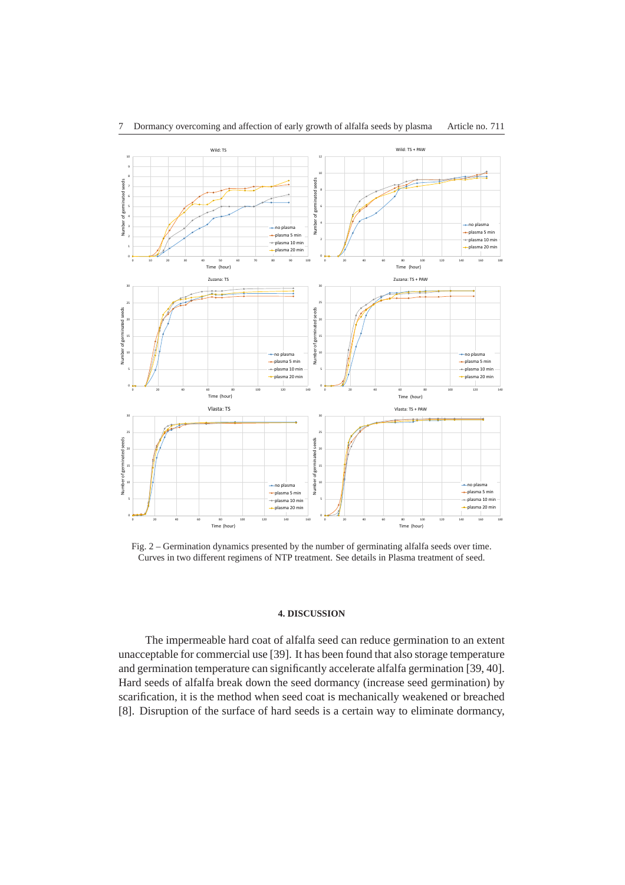

Fig. 2 – Germination dynamics presented by the number of germinating alfalfa seeds over time. Curves in two different regimens of NTP treatment. See details in Plasma treatment of seed.

### **4. DISCUSSION**

The impermeable hard coat of alfalfa seed can reduce germination to an extent unacceptable for commercial use [39]. It has been found that also storage temperature and germination temperature can significantly accelerate alfalfa germination [39, 40]. Hard seeds of alfalfa break down the seed dormancy (increase seed germination) by scarification, it is the method when seed coat is mechanically weakened or breached [8]. Disruption of the surface of hard seeds is a certain way to eliminate dormancy,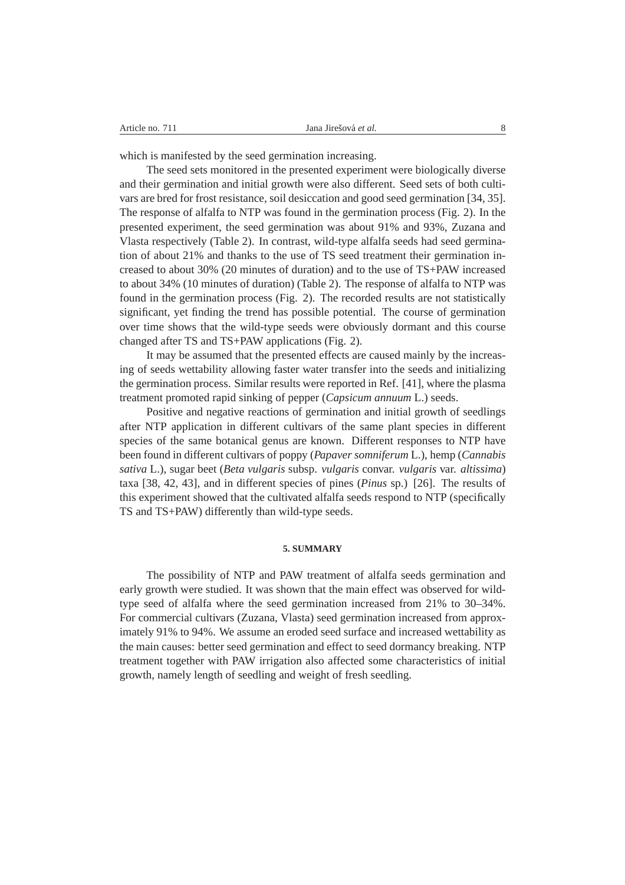which is manifested by the seed germination increasing.

The seed sets monitored in the presented experiment were biologically diverse and their germination and initial growth were also different. Seed sets of both cultivars are bred for frost resistance, soil desiccation and good seed germination [34, 35]. The response of alfalfa to NTP was found in the germination process (Fig. 2). In the presented experiment, the seed germination was about 91% and 93%, Zuzana and Vlasta respectively (Table 2). In contrast, wild-type alfalfa seeds had seed germination of about 21% and thanks to the use of TS seed treatment their germination increased to about 30% (20 minutes of duration) and to the use of TS+PAW increased to about 34% (10 minutes of duration) (Table 2). The response of alfalfa to NTP was found in the germination process (Fig. 2). The recorded results are not statistically significant, yet finding the trend has possible potential. The course of germination over time shows that the wild-type seeds were obviously dormant and this course changed after TS and TS+PAW applications (Fig. 2).

It may be assumed that the presented effects are caused mainly by the increasing of seeds wettability allowing faster water transfer into the seeds and initializing the germination process. Similar results were reported in Ref. [41], where the plasma treatment promoted rapid sinking of pepper (*Capsicum annuum* L.) seeds.

Positive and negative reactions of germination and initial growth of seedlings after NTP application in different cultivars of the same plant species in different species of the same botanical genus are known. Different responses to NTP have been found in different cultivars of poppy (*Papaver somniferum* L.), hemp (*Cannabis sativa* L.), sugar beet (*Beta vulgaris* subsp. *vulgaris* convar. *vulgaris* var. *altissima*) taxa [38, 42, 43], and in different species of pines (*Pinus* sp.) [26]. The results of this experiment showed that the cultivated alfalfa seeds respond to NTP (specifically TS and TS+PAW) differently than wild-type seeds.

#### **5. SUMMARY**

The possibility of NTP and PAW treatment of alfalfa seeds germination and early growth were studied. It was shown that the main effect was observed for wildtype seed of alfalfa where the seed germination increased from 21% to 30–34%. For commercial cultivars (Zuzana, Vlasta) seed germination increased from approximately 91% to 94%. We assume an eroded seed surface and increased wettability as the main causes: better seed germination and effect to seed dormancy breaking. NTP treatment together with PAW irrigation also affected some characteristics of initial growth, namely length of seedling and weight of fresh seedling.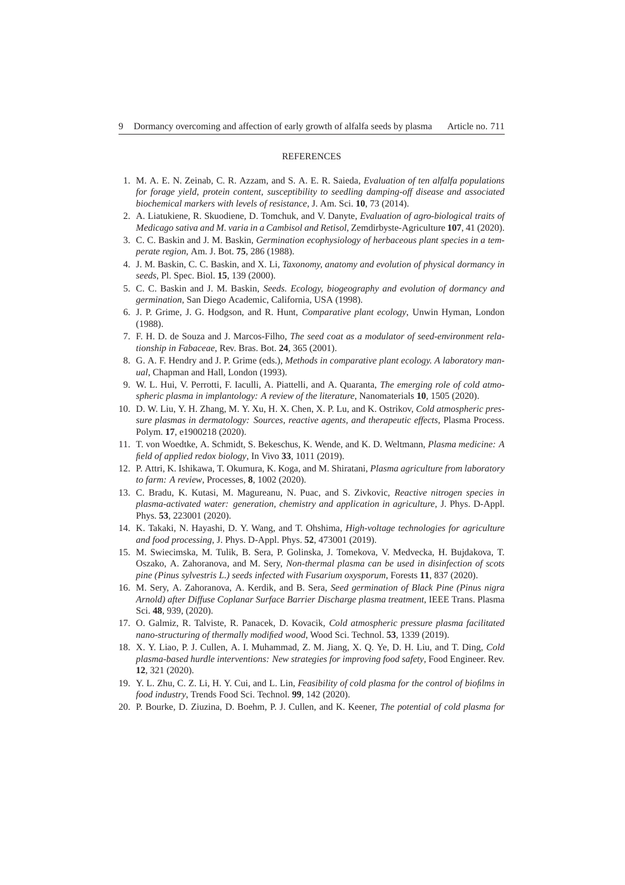#### **REFERENCES**

- 1. M. A. E. N. Zeinab, C. R. Azzam, and S. A. E. R. Saieda, *Evaluation of ten alfalfa populations for forage yield, protein content, susceptibility to seedling damping-off disease and associated biochemical markers with levels of resistance*, J. Am. Sci. **10**, 73 (2014).
- 2. A. Liatukiene, R. Skuodiene, D. Tomchuk, and V. Danyte, *Evaluation of agro-biological traits of Medicago sativa and M. varia in a Cambisol and Retisol*, Zemdirbyste-Agriculture **107**, 41 (2020).
- 3. C. C. Baskin and J. M. Baskin, *Germination ecophysiology of herbaceous plant species in a temperate region*, Am. J. Bot. **75**, 286 (1988).
- 4. J. M. Baskin, C. C. Baskin, and X. Li, *Taxonomy, anatomy and evolution of physical dormancy in seeds*, Pl. Spec. Biol. **15**, 139 (2000).
- 5. C. C. Baskin and J. M. Baskin, *Seeds. Ecology, biogeography and evolution of dormancy and germination*, San Diego Academic, California, USA (1998).
- 6. J. P. Grime, J. G. Hodgson, and R. Hunt, *Comparative plant ecology*, Unwin Hyman, London (1988).
- 7. F. H. D. de Souza and J. Marcos-Filho, *The seed coat as a modulator of seed-environment relationship in Fabaceae*, Rev. Bras. Bot. **24**, 365 (2001).
- 8. G. A. F. Hendry and J. P. Grime (eds.), *Methods in comparative plant ecology. A laboratory manual*, Chapman and Hall, London (1993).
- 9. W. L. Hui, V. Perrotti, F. Iaculli, A. Piattelli, and A. Quaranta, *The emerging role of cold atmospheric plasma in implantology: A review of the literature*, Nanomaterials **10**, 1505 (2020).
- 10. D. W. Liu, Y. H. Zhang, M. Y. Xu, H. X. Chen, X. P. Lu, and K. Ostrikov, *Cold atmospheric pressure plasmas in dermatology: Sources, reactive agents, and therapeutic effects*, Plasma Process. Polym. **17**, e1900218 (2020).
- 11. T. von Woedtke, A. Schmidt, S. Bekeschus, K. Wende, and K. D. Weltmann, *Plasma medicine: A field of applied redox biology*, In Vivo **33**, 1011 (2019).
- 12. P. Attri, K. Ishikawa, T. Okumura, K. Koga, and M. Shiratani, *Plasma agriculture from laboratory to farm: A review*, Processes, **8**, 1002 (2020).
- 13. C. Bradu, K. Kutasi, M. Magureanu, N. Puac, and S. Zivkovic, *Reactive nitrogen species in plasma-activated water: generation, chemistry and application in agriculture*, J. Phys. D-Appl. Phys. **53**, 223001 (2020).
- 14. K. Takaki, N. Hayashi, D. Y. Wang, and T. Ohshima, *High-voltage technologies for agriculture and food processing*, J. Phys. D-Appl. Phys. **52**, 473001 (2019).
- 15. M. Swiecimska, M. Tulik, B. Sera, P. Golinska, J. Tomekova, V. Medvecka, H. Bujdakova, T. Oszako, A. Zahoranova, and M. Sery, *Non-thermal plasma can be used in disinfection of scots pine (Pinus sylvestris L.) seeds infected with Fusarium oxysporum*, Forests **11**, 837 (2020).
- 16. M. Sery, A. Zahoranova, A. Kerdik, and B. Sera, *Seed germination of Black Pine (Pinus nigra Arnold) after Diffuse Coplanar Surface Barrier Discharge plasma treatment*, IEEE Trans. Plasma Sci. **48**, 939, (2020).
- 17. O. Galmiz, R. Talviste, R. Panacek, D. Kovacik, *Cold atmospheric pressure plasma facilitated nano-structuring of thermally modified wood*, Wood Sci. Technol. **53**, 1339 (2019).
- 18. X. Y. Liao, P. J. Cullen, A. I. Muhammad, Z. M. Jiang, X. Q. Ye, D. H. Liu, and T. Ding, *Cold plasma-based hurdle interventions: New strategies for improving food safety*, Food Engineer. Rev. **12**, 321 (2020).
- 19. Y. L. Zhu, C. Z. Li, H. Y. Cui, and L. Lin, *Feasibility of cold plasma for the control of biofilms in food industry*, Trends Food Sci. Technol. **99**, 142 (2020).
- 20. P. Bourke, D. Ziuzina, D. Boehm, P. J. Cullen, and K. Keener, *The potential of cold plasma for*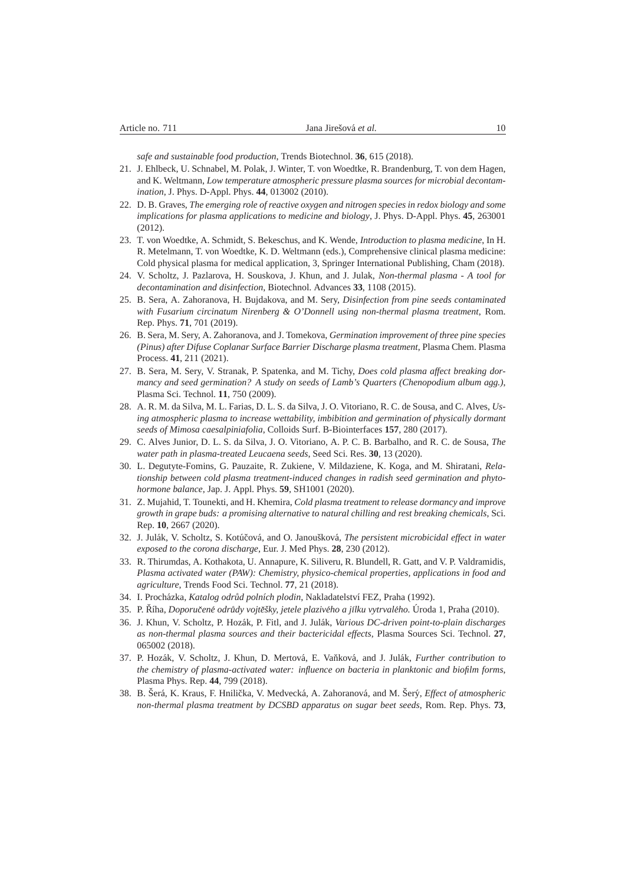*safe and sustainable food production*, Trends Biotechnol. **36**, 615 (2018).

- 21. J. Ehlbeck, U. Schnabel, M. Polak, J. Winter, T. von Woedtke, R. Brandenburg, T. von dem Hagen, and K. Weltmann, *Low temperature atmospheric pressure plasma sources for microbial decontamination*, J. Phys. D-Appl. Phys. **44**, 013002 (2010).
- 22. D. B. Graves, *The emerging role of reactive oxygen and nitrogen species in redox biology and some implications for plasma applications to medicine and biology*, J. Phys. D-Appl. Phys. **45**, 263001  $(2012)$
- 23. T. von Woedtke, A. Schmidt, S. Bekeschus, and K. Wende, *Introduction to plasma medicine*, In H. R. Metelmann, T. von Woedtke, K. D. Weltmann (eds.), Comprehensive clinical plasma medicine: Cold physical plasma for medical application, 3, Springer International Publishing, Cham (2018).
- 24. V. Scholtz, J. Pazlarova, H. Souskova, J. Khun, and J. Julak, *Non-thermal plasma A tool for decontamination and disinfection*, Biotechnol. Advances **33**, 1108 (2015).
- 25. B. Sera, A. Zahoranova, H. Bujdakova, and M. Sery, *Disinfection from pine seeds contaminated with Fusarium circinatum Nirenberg & O'Donnell using non-thermal plasma treatment*, Rom. Rep. Phys. **71**, 701 (2019).
- 26. B. Sera, M. Sery, A. Zahoranova, and J. Tomekova, *Germination improvement of three pine species (Pinus) after Difuse Coplanar Surface Barrier Discharge plasma treatment*, Plasma Chem. Plasma Process. **41**, 211 (2021).
- 27. B. Sera, M. Sery, V. Stranak, P. Spatenka, and M. Tichy, *Does cold plasma affect breaking dormancy and seed germination? A study on seeds of Lamb's Quarters (Chenopodium album agg.)*, Plasma Sci. Technol. **11**, 750 (2009).
- 28. A. R. M. da Silva, M. L. Farias, D. L. S. da Silva, J. O. Vitoriano, R. C. de Sousa, and C. Alves, *Using atmospheric plasma to increase wettability, imbibition and germination of physically dormant seeds of Mimosa caesalpiniafolia*, Colloids Surf. B-Biointerfaces **157**, 280 (2017).
- 29. C. Alves Junior, D. L. S. da Silva, J. O. Vitoriano, A. P. C. B. Barbalho, and R. C. de Sousa, *The water path in plasma-treated Leucaena seeds*, Seed Sci. Res. **30**, 13 (2020).
- 30. L. Degutyte-Fomins, G. Pauzaite, R. Zukiene, V. Mildaziene, K. Koga, and M. Shiratani, *Relationship between cold plasma treatment-induced changes in radish seed germination and phytohormone balance*, Jap. J. Appl. Phys. **59**, SH1001 (2020).
- 31. Z. Mujahid, T. Tounekti, and H. Khemira, *Cold plasma treatment to release dormancy and improve growth in grape buds: a promising alternative to natural chilling and rest breaking chemicals*, Sci. Rep. **10**, 2667 (2020).
- 32. J. Julák, V. Scholtz, S. Kotúčová, and O. Janoušková, *The persistent microbicidal effect in water exposed to the corona discharge*, Eur. J. Med Phys. **28**, 230 (2012).
- 33. R. Thirumdas, A. Kothakota, U. Annapure, K. Siliveru, R. Blundell, R. Gatt, and V. P. Valdramidis, *Plasma activated water (PAW): Chemistry, physico-chemical properties, applications in food and agriculture*, Trends Food Sci. Technol. **77**, 21 (2018).
- 34. I. Procházka, Katalog odrůd polních plodin, Nakladatelství FEZ, Praha (1992).
- 35. P. Rˇ´ıha, *Doporucen ˇ e odr ´ udy vojt ˚ eˇsky, jetele plaziv ˇ eho a j ´ ´ılku vytrvaleho. ´* Uroda 1, Praha (2010). ´
- 36. J. Khun, V. Scholtz, P. Hozák, P. Fitl, and J. Julák, *Various DC-driven point-to-plain discharges as non-thermal plasma sources and their bactericidal effects*, Plasma Sources Sci. Technol. **27**, 065002 (2018).
- 37. P. Hozák, V. Scholtz, J. Khun, D. Mertová, E. Vaňková, and J. Julák, *Further contribution to the chemistry of plasma-activated water: influence on bacteria in planktonic and biofilm forms*, Plasma Phys. Rep. **44**, 799 (2018).
- 38. B. Šerá, K. Kraus, F. Hnilička, V. Medvecká, A. Zahoranová, and M. Šerý, *Effect of atmospheric non-thermal plasma treatment by DCSBD apparatus on sugar beet seeds*, Rom. Rep. Phys. **73**,